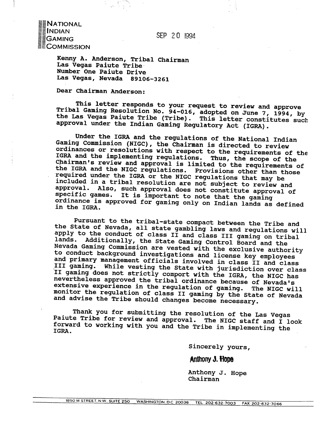**SEP** 2 0 1994

NATIONAL ∎INDIAN **GAMING ECOMMISSION** 

> **Kenny A. Anderson, Tribal Chairman Las Vegas Paiute Tribe, Number One Paiute Drive Las Vegas, Nevada 89106-3261**

**Dear Chairman Anderson:** 

**This letter responds to your request to review and approve Tribal Gaming Resolution No. 94-016, adopted on June 7, 1994, by the Las Vegas Paiute Tribe (Tribe). This letter constitutes such**  approval under the Indian Gaming Regulatory Act (IGRA).

**Under the IGRA and the regulations of the National Indian**  Gaming Commission (NIGC), the Chairman is directed to review **ordinances or resolutions with respect to the requirements of the IGRA and the implementing regulations. Thus, the scope of the Chairman's review and approval is limited to the requirements of the IGRA and the NIGC regulations. Provisions other than those required under the IGRA or the NIGC regulations that may be included in a tribal resolution are not subject to review and approval. Also, such approval does not constitute approval of specific games. It is important to note that the gaming ordinance is approved for gaming only on Indian lands as defined in the IGRA.** 

**Pursuant to the tribal-state compact between the Tribe and the State of Nevada, all state gambling laws and regulations will apply to the conduct of class I1 and class I11 gaming on tribal**  lands. Additionally, the State Gaming Control Board and the **Nevada Gaming Commission are vested with the exclusive authority to conduct background investigations and license key employees and primary management officials involved in class I1 and class I11 gaming. While vesting the State with jurisdiction over class '11 gaming does not strictly comport with the IGRA, the NIGC has nevertheless approved the tribal ordinance because of Nevada's extensive experience in the regulation of gaming. The NIGC will monitor the regulation of class I1 gaming by the State of Nevada and advise the Tribe should changes become necessary.** 

**Thank you for submitting the resolution of the Las Vegas**  Paiute Tribe for review and approval. The NIGC staff and I look **forward to working with you and the Tribe in implementing the OFWATD IGRA.** 

**Sincerely yours,** 

Anthony J. Hope

**Anthony J. Hope Chairman**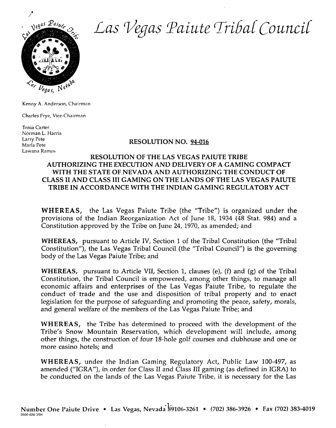

Las Vegas Paiute Tribal Council

Kenny **A.** Anderson, Chairman

Charles Frye, Vice-Chairman

Tonia Carter Norman L. Harris Larry Pete Lawana Ramos

## Larry Pete<br>Marla Pete **RESOLUTION NO.** 94-016

## **RESOLUTION OF THE LAS VEGAS PAIUTE TRIBE AUTHORIZING THE EXECUTION AND DELIVERY OF A GAMING COMPACT WITH THE STATE OF NEVADA AND AUTHORIZING THE CONDUCT OF CLASS I1 AND CLASS 111 GAMING ON THE LANDS OF THE LAS VEGAS PAIUTE TRIBE IN ACCORDANCE WITH THE INDIAN GAMING REGULATORY ACT**

**WHEREAS,** the Las Vegas Paiute Tribe (the "Tribe") is organized under the provisions of the Indian Reorganization **Act** of June 18, 1934 (48 Stat. 984) and a Constitution approved by the Tribe on June 24, 1970, as amended; and

**WHEREAS,** pursuant to Article IV, Section 1 of the Tribal Constitution (the "Tribal Constitution"), the Las Vegas Tribal Council (the "Tribal Council") is the governing body of the Las Vegas Paiute Tribe; and

**WHEREAS,** pursuant to Article VII, Section 1, clauses (e), (f) and (g) of the Tribal Constitution, the Tribal Council is empowered, among other things, to manage all economic affairs and enterprises of the Las Vegas Paiute Tribe, to regulate the conduct of trade and the use and disposition of tribal property and to enact IegisIation for the purpose of safeguarding and promoting the peace, safety, morals, and general welfare of the members of the Las Vegas Paiute Tribe; and

**WHEREAS,** the Tribe has determined to proceed with the development of the Tribe's Snow Mountain Reservation, which development will include, among other things, the construction of four 18-hole golf courses and clubhouse and one or more casino hotels; and

**WHEREAS,** under the Indian Gaming Regulatory Act, Public Law 100-497, as amended ("IGRA"), in order for Class I1 and Class I11 gaming (as defined in IGRA) to be conducted on the lands of the Las Vegas Paiute Tribe, it is necessary for the Las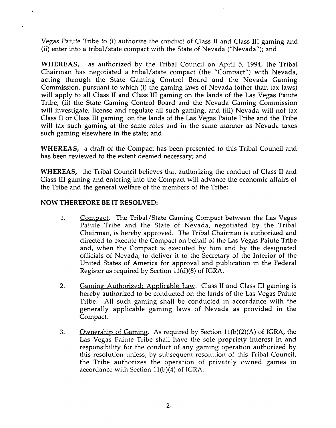Vegas Paiute Tribe to (i) authorize the conduct of Class I1 and Class I11 gaming and (ii) enter into a tribal/state compact with the State of Nevada ("Nevada"); and

**WHEREAS,** as authorized by the Tribal Council on April 5, 1994, the Tribal Chairman has negotiated a tribal/state compact (the "Compact") with Nevada, acting through the State Gaming Control Board and the Nevada Gaming Commission, pursuant to which (i) the gaming laws of Nevada (other than tax laws) will apply to all Class I1 and Class I11 gaming on the lands of the Las Vegas Paiute Tribe, (ii) the State Gaming Control Board and the Nevada Gaming Commission will investigate, license and regulate all such gaming, and (iii) Nevada will not tax Class I1 or Class I11 gaming on the lands of the Las Vegas Paiute Tribe and the Tribe will tax such gaming at the same rates and in the same manner as Nevada taxes such gaming elsewhere in the state; and

**WHEREAS, a** draft of the Compact has been presented to this Tribal Council and has been reviewed to the extent deemed necessary; and

**WHEREAS,** the Tribal Council believes that authorizing the conduct of Class I1 and Class I11 gaming and entering into the Compact will advance the economic affairs of the Tribe and the general welfare of the members of the Tribe;

## **NOW THEREFORE BE IT RESOLVED:**

- 1. Compact. The Tribal/State Gaming Compact between the Las Vegas Paiute Tribe and the State of Nevada, negotiated by the Tribal Chairman, is hereby approved. The Tribal Chairman is authorized and directed to execute the Compact on behalf of the Las Vegas Paiute Tribe and, when the Compact is executed by him and by the designated officials of Nevada, to deliver it to the Secretary of the Interior of the United States of America for approval and publication in the Federal Register as required by Section  $11(d)(8)$  of IGRA.
- 2. Gaming Authorized; Applicable Law. Class II and Class III gaming is hereby authorized to be conducted on the lands of the Las Vegas Paiute Tribe. All such gaming shall be conducted in accordance with the generally applicable gaming laws of Nevada as provided in the Compact.
- 3. **Ownership of Gaming.** As required by Section 11(b)(2)(A) of IGRA, the Las Vegas Paiute Tribe shall have the sole propriety interest in and responsibility for the conduct of any gaming operation authorized by this resolution unless, by subsequent resolution of this Tribal Council, the Tribe authorizes the operation of privately owned games in accordance with Section  $11(b)(4)$  of IGRA.

 $-2-$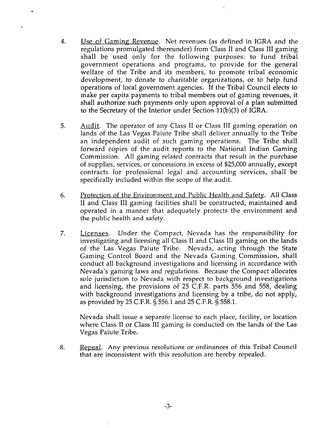- **4.** Use of Gaming Revenue. Net revenues (as defined in IGRA and the regulations promulgated thereunder) from Class I1 and Class I11 gaming shall be used only for the following purposes: to fund tribal government operations and programs, to provide for the general welfare of the Tribe and its members, to promote tribal economic development, to donate to charitable organizations, or to help fund operations of local government agencies. If the Tribal Council elects to make per capita payments to tribal members out of gaming revenues, it shall authorize such payments only upon approval of a plan submitted to the Secretary of the Interior under Section ll(b)(3) of IGRA.
- 5. Audit. The operator of any Class II or Class III gaming operation on lands of the Las Vegas Paiute Tribe shall deliver annually to the Tribe an independent audit of such gaming operations. The Tribe shall forward copies of the audit reports to the National Indian Gaming Commission. All gaming related contracts that result in the purchase of supplies, services, or concessions in excess of \$25,000 annually, except contracts for professional legal and accounting services, shall be specifically included within the scope of the audit.
- *6.* Protection of the Environment and Public Health and Safetv. All Class I1 and Class I11 gaming facilities shall be constructed, maintained and operated in a manner that adequately protects the environment and the public health and safety.
- 7. Licenses. Under the Compact, Nevada has the responsibility for investigating and licensing all Class II and Class III gaming on the lands of the Las Vegas Paiute Tribe. Nevada, acting through the State Gaming Control Board and the Nevada Gaming Commission, shall conduct all background investigations and licensing in accordance with Nevada's gaming laws and regulations. Because the Compact allocates sole jurisdiction to Nevada with respect to background investigations and licensing, the provisions of 25 C.F.R. parts 556 and 558, dealing with background investigations and licensing by a tribe, do not apply, as provided by 25 C.F.R. § 556.1 and 25 C.F.R. 5 558.1.

Nevada shall issue a separate license to each place, facility, or location where Class I1 or Class I11 gaming is conducted on the lands of the Las Vegas Paiute Tribe.

8. Repeal. Any previous resolutions or ordinances of this Tribal Council that are inconsistent with this resolution are hereby repealed.